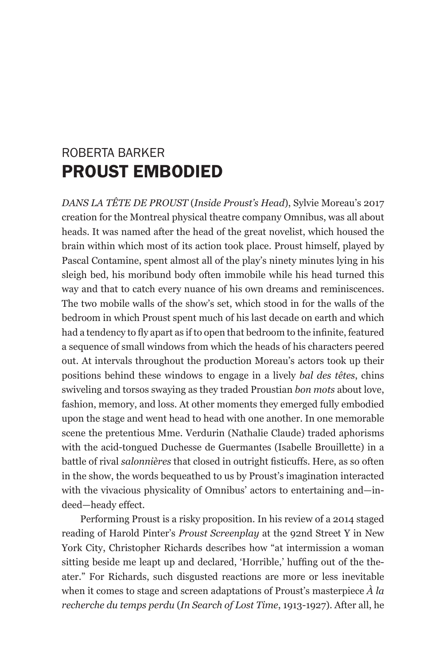## ROBERTA BARKER PROUST EMBODIED

*DANS LA TÊTE DE PROUST* (*Inside Proust's Head*), Sylvie Moreau's 2017 creation for the Montreal physical theatre company Omnibus, was all about heads. It was named after the head of the great novelist, which housed the brain within which most of its action took place. Proust himself, played by Pascal Contamine, spent almost all of the play's ninety minutes lying in his sleigh bed, his moribund body often immobile while his head turned this way and that to catch every nuance of his own dreams and reminiscences. The two mobile walls of the show's set, which stood in for the walls of the bedroom in which Proust spent much of his last decade on earth and which had a tendency to fly apart as if to open that bedroom to the infinite, featured a sequence of small windows from which the heads of his characters peered out. At intervals throughout the production Moreau's actors took up their positions behind these windows to engage in a lively *bal des têtes*, chins swiveling and torsos swaying as they traded Proustian *bon mots* about love, fashion, memory, and loss. At other moments they emerged fully embodied upon the stage and went head to head with one another. In one memorable scene the pretentious Mme. Verdurin (Nathalie Claude) traded aphorisms with the acid-tongued Duchesse de Guermantes (Isabelle Brouillette) in a battle of rival *salonnières* that closed in outright fisticuffs. Here, as so often in the show, the words bequeathed to us by Proust's imagination interacted with the vivacious physicality of Omnibus' actors to entertaining and—indeed—heady effect.

Performing Proust is a risky proposition. In his review of a 2014 staged reading of Harold Pinter's *Proust Screenplay* at the 92nd Street Y in New York City, Christopher Richards describes how "at intermission a woman sitting beside me leapt up and declared, 'Horrible,' huffing out of the theater." For Richards, such disgusted reactions are more or less inevitable when it comes to stage and screen adaptations of Proust's masterpiece *À la recherche du temps perdu* (*In Search of Lost Time*, 1913-1927). After all, he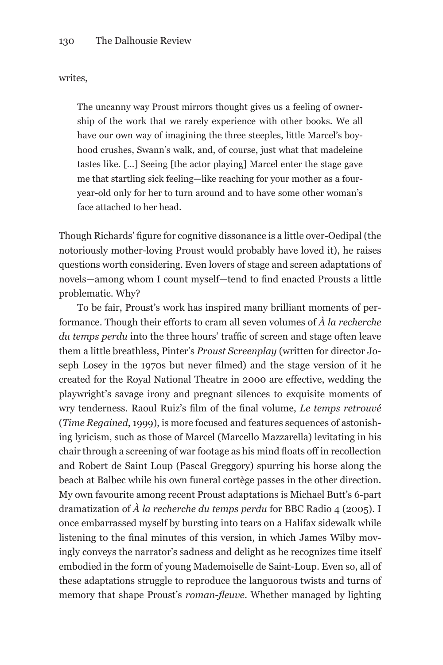writes,

The uncanny way Proust mirrors thought gives us a feeling of ownership of the work that we rarely experience with other books. We all have our own way of imagining the three steeples, little Marcel's boyhood crushes, Swann's walk, and, of course, just what that madeleine tastes like. […] Seeing [the actor playing] Marcel enter the stage gave me that startling sick feeling—like reaching for your mother as a fouryear-old only for her to turn around and to have some other woman's face attached to her head.

Though Richards' figure for cognitive dissonance is a little over-Oedipal (the notoriously mother-loving Proust would probably have loved it), he raises questions worth considering. Even lovers of stage and screen adaptations of novels—among whom I count myself—tend to find enacted Prousts a little problematic. Why?

To be fair, Proust's work has inspired many brilliant moments of performance. Though their efforts to cram all seven volumes of *À la recherche du temps perdu* into the three hours' traffic of screen and stage often leave them a little breathless, Pinter's *Proust Screenplay* (written for director Joseph Losey in the 1970s but never filmed) and the stage version of it he created for the Royal National Theatre in 2000 are effective, wedding the playwright's savage irony and pregnant silences to exquisite moments of wry tenderness. Raoul Ruiz's film of the final volume, *Le temps retrouvé* (*Time Regained*, 1999), is more focused and features sequences of astonishing lyricism, such as those of Marcel (Marcello Mazzarella) levitating in his chair through a screening of war footage as his mind floats off in recollection and Robert de Saint Loup (Pascal Greggory) spurring his horse along the beach at Balbec while his own funeral cortège passes in the other direction. My own favourite among recent Proust adaptations is Michael Butt's 6-part dramatization of *À la recherche du temps perdu* for BBC Radio 4 (2005). I once embarrassed myself by bursting into tears on a Halifax sidewalk while listening to the final minutes of this version, in which James Wilby movingly conveys the narrator's sadness and delight as he recognizes time itself embodied in the form of young Mademoiselle de Saint-Loup. Even so, all of these adaptations struggle to reproduce the languorous twists and turns of memory that shape Proust's *roman-fleuve*. Whether managed by lighting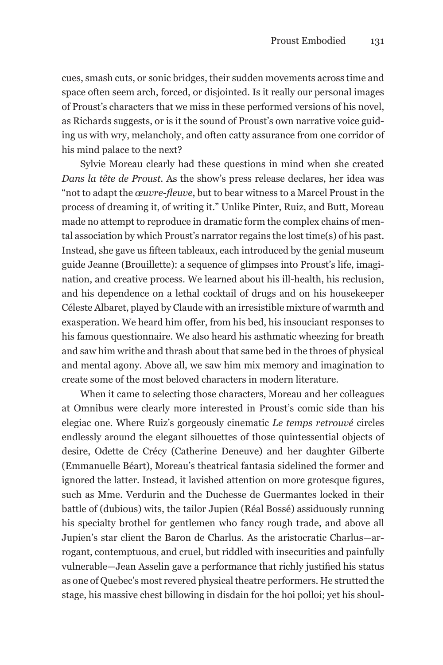cues, smash cuts, or sonic bridges, their sudden movements across time and space often seem arch, forced, or disjointed. Is it really our personal images of Proust's characters that we miss in these performed versions of his novel, as Richards suggests, or is it the sound of Proust's own narrative voice guiding us with wry, melancholy, and often catty assurance from one corridor of his mind palace to the next?

Sylvie Moreau clearly had these questions in mind when she created *Dans la tête de Proust*. As the show's press release declares, her idea was "not to adapt the *œuvre-fleuve*, but to bear witness to a Marcel Proust in the process of dreaming it, of writing it." Unlike Pinter, Ruiz, and Butt, Moreau made no attempt to reproduce in dramatic form the complex chains of mental association by which Proust's narrator regains the lost time(s) of his past. Instead, she gave us fifteen tableaux, each introduced by the genial museum guide Jeanne (Brouillette): a sequence of glimpses into Proust's life, imagination, and creative process. We learned about his ill-health, his reclusion, and his dependence on a lethal cocktail of drugs and on his housekeeper Céleste Albaret, played by Claude with an irresistible mixture of warmth and exasperation. We heard him offer, from his bed, his insouciant responses to his famous questionnaire. We also heard his asthmatic wheezing for breath and saw him writhe and thrash about that same bed in the throes of physical and mental agony. Above all, we saw him mix memory and imagination to create some of the most beloved characters in modern literature.

When it came to selecting those characters, Moreau and her colleagues at Omnibus were clearly more interested in Proust's comic side than his elegiac one. Where Ruiz's gorgeously cinematic *Le temps retrouvé* circles endlessly around the elegant silhouettes of those quintessential objects of desire, Odette de Crécy (Catherine Deneuve) and her daughter Gilberte (Emmanuelle Béart), Moreau's theatrical fantasia sidelined the former and ignored the latter. Instead, it lavished attention on more grotesque figures, such as Mme. Verdurin and the Duchesse de Guermantes locked in their battle of (dubious) wits, the tailor Jupien (Réal Bossé) assiduously running his specialty brothel for gentlemen who fancy rough trade, and above all Jupien's star client the Baron de Charlus. As the aristocratic Charlus—arrogant, contemptuous, and cruel, but riddled with insecurities and painfully vulnerable—Jean Asselin gave a performance that richly justified his status as one of Quebec's most revered physical theatre performers. He strutted the stage, his massive chest billowing in disdain for the hoi polloi; yet his shoul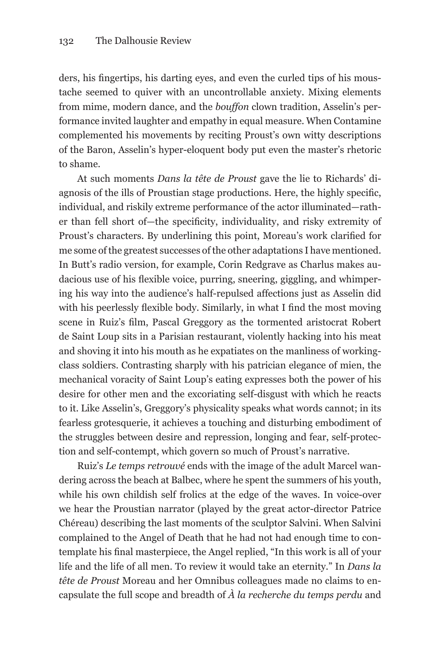ders, his fingertips, his darting eyes, and even the curled tips of his moustache seemed to quiver with an uncontrollable anxiety. Mixing elements from mime, modern dance, and the *bouffon* clown tradition, Asselin's performance invited laughter and empathy in equal measure. When Contamine complemented his movements by reciting Proust's own witty descriptions of the Baron, Asselin's hyper-eloquent body put even the master's rhetoric to shame.

At such moments *Dans la tête de Proust* gave the lie to Richards' diagnosis of the ills of Proustian stage productions. Here, the highly specific, individual, and riskily extreme performance of the actor illuminated—rather than fell short of—the specificity, individuality, and risky extremity of Proust's characters. By underlining this point, Moreau's work clarified for me some of the greatest successes of the other adaptations I have mentioned. In Butt's radio version, for example, Corin Redgrave as Charlus makes audacious use of his flexible voice, purring, sneering, giggling, and whimpering his way into the audience's half-repulsed affections just as Asselin did with his peerlessly flexible body. Similarly, in what I find the most moving scene in Ruiz's film, Pascal Greggory as the tormented aristocrat Robert de Saint Loup sits in a Parisian restaurant, violently hacking into his meat and shoving it into his mouth as he expatiates on the manliness of workingclass soldiers. Contrasting sharply with his patrician elegance of mien, the mechanical voracity of Saint Loup's eating expresses both the power of his desire for other men and the excoriating self-disgust with which he reacts to it. Like Asselin's, Greggory's physicality speaks what words cannot; in its fearless grotesquerie, it achieves a touching and disturbing embodiment of the struggles between desire and repression, longing and fear, self-protection and self-contempt, which govern so much of Proust's narrative.

Ruiz's *Le temps retrouvé* ends with the image of the adult Marcel wandering across the beach at Balbec, where he spent the summers of his youth, while his own childish self frolics at the edge of the waves. In voice-over we hear the Proustian narrator (played by the great actor-director Patrice Chéreau) describing the last moments of the sculptor Salvini. When Salvini complained to the Angel of Death that he had not had enough time to contemplate his final masterpiece, the Angel replied, "In this work is all of your life and the life of all men. To review it would take an eternity." In *Dans la tête de Proust* Moreau and her Omnibus colleagues made no claims to encapsulate the full scope and breadth of *À la recherche du temps perdu* and